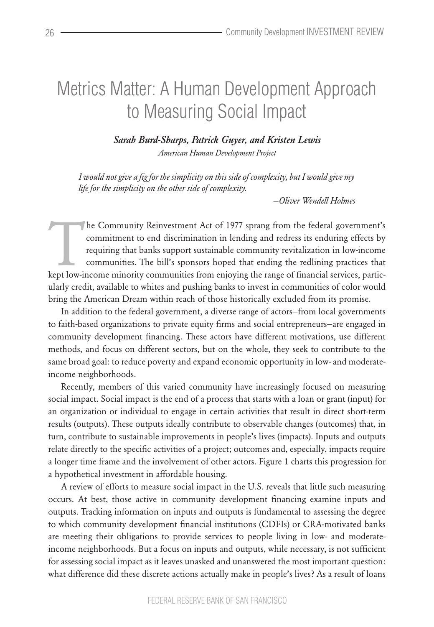## Metrics Matter: A Human Development Approach to Measuring Social Impact

*Sarah Burd-Sharps, Patrick Guyer, and Kristen Lewis American Human Development Project*

*I would not give a fig for the simplicity on this side of complexity, but I would give my life for the simplicity on the other side of complexity.*

 *—Oliver Wendell Holmes*

The Community Reinvestment Act of 1977 sprang from the federal government's communitment to end discrimination in lending and redress its enduring effects by requiring that banks support sustainable community revitalizatio commitment to end discrimination in lending and redress its enduring effects by requiring that banks support sustainable community revitalization in low-income communities. The bill's sponsors hoped that ending the redlining practices that ularly credit, available to whites and pushing banks to invest in communities of color would bring the American Dream within reach of those historically excluded from its promise.

In addition to the federal government, a diverse range of actors—from local governments to faith-based organizations to private equity firms and social entrepreneurs—are engaged in community development financing. These actors have different motivations, use different methods, and focus on different sectors, but on the whole, they seek to contribute to the same broad goal: to reduce poverty and expand economic opportunity in low- and moderateincome neighborhoods.

Recently, members of this varied community have increasingly focused on measuring social impact. Social impact is the end of a process that starts with a loan or grant (input) for an organization or individual to engage in certain activities that result in direct short-term results (outputs). These outputs ideally contribute to observable changes (outcomes) that, in turn, contribute to sustainable improvements in people's lives (impacts). Inputs and outputs relate directly to the specific activities of a project; outcomes and, especially, impacts require a longer time frame and the involvement of other actors. Figure 1 charts this progression for a hypothetical investment in affordable housing.

A review of efforts to measure social impact in the U.S. reveals that little such measuring occurs. At best, those active in community development financing examine inputs and outputs. Tracking information on inputs and outputs is fundamental to assessing the degree to which community development financial institutions (CDFIs) or CRA-motivated banks are meeting their obligations to provide services to people living in low- and moderateincome neighborhoods. But a focus on inputs and outputs, while necessary, is not sufficient for assessing social impact as it leaves unasked and unanswered the most important question: what difference did these discrete actions actually make in people's lives? As a result of loans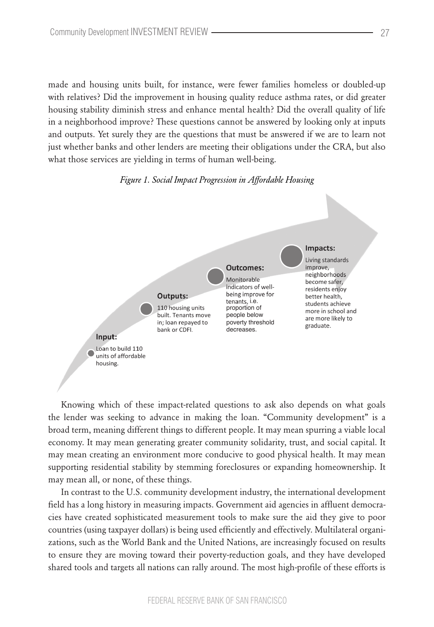made and housing units built, for instance, were fewer families homeless or doubled-up with relatives? Did the improvement in housing quality reduce asthma rates, or did greater housing stability diminish stress and enhance mental health? Did the overall quality of life in a neighborhood improve? These questions cannot be answered by looking only at inputs and outputs. Yet surely they are the questions that must be answered if we are to learn not just whether banks and other lenders are meeting their obligations under the CRA, but also what those services are yielding in terms of human well-being.

## *Figure 1. Social Impact Progression in Affordable Housing*



Knowing which of these impact-related questions to ask also depends on what goals the lender was seeking to advance in making the loan. "Community development" is a broad term, meaning different things to different people. It may mean spurring a viable local economy. It may mean generating greater community solidarity, trust, and social capital. It may mean creating an environment more conducive to good physical health. It may mean supporting residential stability by stemming foreclosures or expanding homeownership. It may mean all, or none, of these things.

In contrast to the U.S. community development industry, the international development field has a long history in measuring impacts. Government aid agencies in affluent democracies have created sophisticated measurement tools to make sure the aid they give to poor countries (using taxpayer dollars) is being used efficiently and effectively. Multilateral organizations, such as the World Bank and the United Nations, are increasingly focused on results to ensure they are moving toward their poverty-reduction goals, and they have developed shared tools and targets all nations can rally around. The most high-profile of these efforts is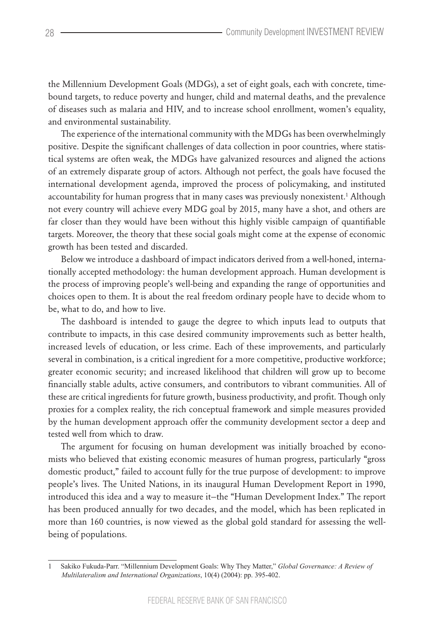the Millennium Development Goals (MDGs), a set of eight goals, each with concrete, timebound targets, to reduce poverty and hunger, child and maternal deaths, and the prevalence of diseases such as malaria and HIV, and to increase school enrollment, women's equality, and environmental sustainability.

The experience of the international community with the MDGs has been overwhelmingly positive. Despite the significant challenges of data collection in poor countries, where statistical systems are often weak, the MDGs have galvanized resources and aligned the actions of an extremely disparate group of actors. Although not perfect, the goals have focused the international development agenda, improved the process of policymaking, and instituted accountability for human progress that in many cases was previously nonexistent.<sup>1</sup> Although not every country will achieve every MDG goal by 2015, many have a shot, and others are far closer than they would have been without this highly visible campaign of quantifiable targets. Moreover, the theory that these social goals might come at the expense of economic growth has been tested and discarded.

Below we introduce a dashboard of impact indicators derived from a well-honed, internationally accepted methodology: the human development approach. Human development is the process of improving people's well-being and expanding the range of opportunities and choices open to them. It is about the real freedom ordinary people have to decide whom to be, what to do, and how to live.

The dashboard is intended to gauge the degree to which inputs lead to outputs that contribute to impacts, in this case desired community improvements such as better health, increased levels of education, or less crime. Each of these improvements, and particularly several in combination, is a critical ingredient for a more competitive, productive workforce; greater economic security; and increased likelihood that children will grow up to become financially stable adults, active consumers, and contributors to vibrant communities. All of these are critical ingredients for future growth, business productivity, and profit. Though only proxies for a complex reality, the rich conceptual framework and simple measures provided by the human development approach offer the community development sector a deep and tested well from which to draw.

The argument for focusing on human development was initially broached by economists who believed that existing economic measures of human progress, particularly "gross domestic product," failed to account fully for the true purpose of development: to improve people's lives. The United Nations, in its inaugural Human Development Report in 1990, introduced this idea and a way to measure it—the "Human Development Index." The report has been produced annually for two decades, and the model, which has been replicated in more than 160 countries, is now viewed as the global gold standard for assessing the wellbeing of populations.

<sup>1</sup>  Sakiko Fukuda-Parr. "Millennium Development Goals: Why They Matter," *Global Governance: A Review of Multilateralism and International Organizations*, 10(4) (2004): pp. 395-402.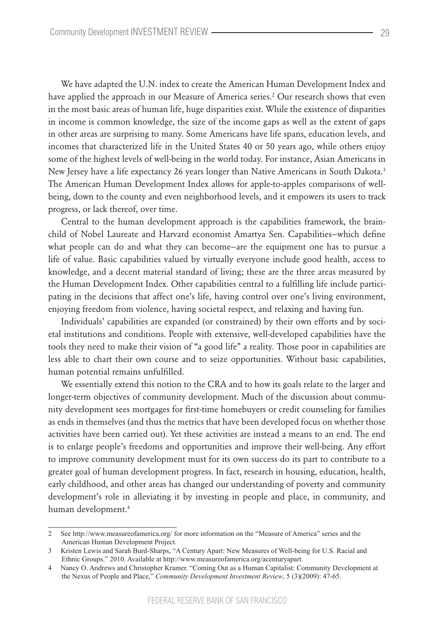We have adapted the U.N. index to create the American Human Development Index and have applied the approach in our Measure of America series.2 Our research shows that even in the most basic areas of human life, huge disparities exist. While the existence of disparities in income is common knowledge, the size of the income gaps as well as the extent of gaps in other areas are surprising to many. Some Americans have life spans, education levels, and incomes that characterized life in the United States 40 or 50 years ago, while others enjoy some of the highest levels of well-being in the world today. For instance, Asian Americans in New Jersey have a life expectancy 26 years longer than Native Americans in South Dakota.<sup>3</sup> The American Human Development Index allows for apple-to-apples comparisons of wellbeing, down to the county and even neighborhood levels, and it empowers its users to track progress, or lack thereof, over time.

Central to the human development approach is the capabilities framework, the brainchild of Nobel Laureate and Harvard economist Amartya Sen. Capabilities—which define what people can do and what they can become—are the equipment one has to pursue a life of value. Basic capabilities valued by virtually everyone include good health, access to knowledge, and a decent material standard of living; these are the three areas measured by the Human Development Index. Other capabilities central to a fulfilling life include participating in the decisions that affect one's life, having control over one's living environment, enjoying freedom from violence, having societal respect, and relaxing and having fun.

Individuals' capabilities are expanded (or constrained) by their own efforts and by societal institutions and conditions. People with extensive, well-developed capabilities have the tools they need to make their vision of "a good life" a reality. Those poor in capabilities are less able to chart their own course and to seize opportunities. Without basic capabilities, human potential remains unfulfilled.

We essentially extend this notion to the CRA and to how its goals relate to the larger and longer-term objectives of community development. Much of the discussion about community development sees mortgages for first-time homebuyers or credit counseling for families as ends in themselves (and thus the metrics that have been developed focus on whether those activities have been carried out). Yet these activities are instead a means to an end. The end is to enlarge people's freedoms and opportunities and improve their well-being. Any effort to improve community development must for its own success do its part to contribute to a greater goal of human development progress. In fact, research in housing, education, health, early childhood, and other areas has changed our understanding of poverty and community development's role in alleviating it by investing in people and place, in community, and human development.4

<sup>2</sup>  See http://www.measureofamerica.org/ for more information on the "Measure of America" series and the American Human Development Project.

<sup>3</sup>  Kristen Lewis and Sarah Burd-Sharps, "A Century Apart: New Measures of Well-being for U.S. Racial and Ethnic Groups." 2010. Available at http://www.measureofamerica.org/acenturyapart.

<sup>4</sup>  Nancy O. Andrews and Christopher Kramer. "Coming Out as a Human Capitalist: Community Development at the Nexus of People and Place," *Community Development Investment Review*, 5 (3)(2009): 47-65.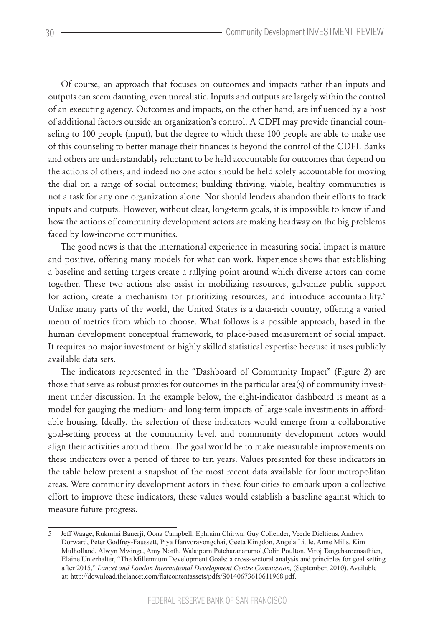Of course, an approach that focuses on outcomes and impacts rather than inputs and outputs can seem daunting, even unrealistic. Inputs and outputs are largely within the control of an executing agency. Outcomes and impacts, on the other hand, are influenced by a host of additional factors outside an organization's control. A CDFI may provide financial counseling to 100 people (input), but the degree to which these 100 people are able to make use of this counseling to better manage their finances is beyond the control of the CDFI. Banks and others are understandably reluctant to be held accountable for outcomes that depend on the actions of others, and indeed no one actor should be held solely accountable for moving the dial on a range of social outcomes; building thriving, viable, healthy communities is not a task for any one organization alone. Nor should lenders abandon their efforts to track inputs and outputs. However, without clear, long-term goals, it is impossible to know if and how the actions of community development actors are making headway on the big problems faced by low-income communities.

The good news is that the international experience in measuring social impact is mature and positive, offering many models for what can work. Experience shows that establishing a baseline and setting targets create a rallying point around which diverse actors can come together. These two actions also assist in mobilizing resources, galvanize public support for action, create a mechanism for prioritizing resources, and introduce accountability.<sup>5</sup> Unlike many parts of the world, the United States is a data-rich country, offering a varied menu of metrics from which to choose. What follows is a possible approach, based in the human development conceptual framework, to place-based measurement of social impact. It requires no major investment or highly skilled statistical expertise because it uses publicly available data sets.

The indicators represented in the "Dashboard of Community Impact" (Figure 2) are those that serve as robust proxies for outcomes in the particular area(s) of community investment under discussion. In the example below, the eight-indicator dashboard is meant as a model for gauging the medium- and long-term impacts of large-scale investments in affordable housing. Ideally, the selection of these indicators would emerge from a collaborative goal-setting process at the community level, and community development actors would align their activities around them. The goal would be to make measurable improvements on these indicators over a period of three to ten years. Values presented for these indicators in the table below present a snapshot of the most recent data available for four metropolitan areas. Were community development actors in these four cities to embark upon a collective effort to improve these indicators, these values would establish a baseline against which to measure future progress.

<sup>5</sup>  Jeff Waage, Rukmini Banerji, Oona Campbell, Ephraim Chirwa, Guy Collender, Veerle Dieltiens, Andrew Dorward, Peter Godfrey-Faussett, Piya Hanvoravongchai, Geeta Kingdon, Angela Little, Anne Mills, Kim Mulholland, Alwyn Mwinga, Amy North, Walaiporn Patcharanarumol,Colin Poulton, Viroj Tangcharoensathien, Elaine Unterhalter, "The Millennium Development Goals: a cross-sectoral analysis and principles for goal setting after 2015," *Lancet and London International Development Centre Commission,* (September, 2010). Available at: http://download.thelancet.com/flatcontentassets/pdfs/S0140673610611968.pdf.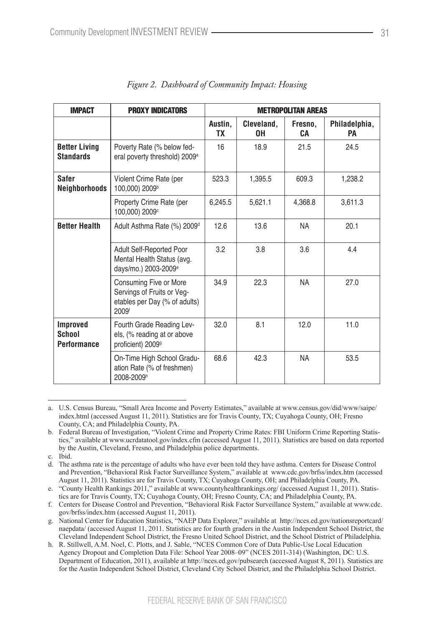| <b>IMPACT</b>                                   | <b>PROXY INDICATORS</b>                                                                        | <b>METROPOLITAN AREAS</b> |                  |               |                     |
|-------------------------------------------------|------------------------------------------------------------------------------------------------|---------------------------|------------------|---------------|---------------------|
|                                                 |                                                                                                | Austin.<br>TХ             | Cleveland.<br>0H | Fresno.<br>CА | Philadelphia,<br>PA |
| <b>Better Living</b><br><b>Standards</b>        | Poverty Rate (% below fed-<br>eral poverty threshold) 2009 <sup>a</sup>                        | 16                        | 18.9             | 21.5          | 24.5                |
| Safer<br><b>Neighborhoods</b>                   | Violent Crime Rate (per<br>100.000) 2009 <sup>b</sup>                                          | 523.3                     | 1,395.5          | 609.3         | 1,238.2             |
|                                                 | Property Crime Rate (per<br>100,000) 2009 <sup>c</sup>                                         | 6,245.5                   | 5,621.1          | 4,368.8       | 3,611.3             |
| <b>Better Health</b>                            | Adult Asthma Rate (%) 2009 <sup>d</sup>                                                        | 12.6                      | 13.6             | <b>NA</b>     | 20.1                |
|                                                 | Adult Self-Reported Poor<br>Mental Health Status (avg.<br>davs/mo.) 2003-2009 <sup>e</sup>     | 3.2                       | 3.8              | 3.6           | 4.4                 |
|                                                 | Consuming Five or More<br>Servings of Fruits or Veg-<br>etables per Day (% of adults)<br>2009f | 34.9                      | 22.3             | <b>NA</b>     | 27.0                |
| <b>Improved</b><br>School<br><b>Performance</b> | Fourth Grade Reading Lev-<br>els, (% reading at or above<br>proficient) 2009 <sup>9</sup>      | 32.0                      | 8.1              | 12.0          | 11.0                |
|                                                 | On-Time High School Gradu-<br>ation Rate (% of freshmen)<br>2008-2009h                         | 68.6                      | 42.3             | <b>NA</b>     | 53.5                |

a. U.S. Census Bureau, "Small Area Income and Poverty Estimates," available at www.census.gov/did/www/saipe/ index.html (accessed August 11, 2011). Statistics are for Travis County, TX; Cuyahoga County, OH; Fresno County, CA; and Philadelphia County, PA.

b. Federal Bureau of Investigation, "Violent Crime and Property Crime Rates: FBI Uniform Crime Reporting Statistics," available at www.ucrdatatool.gov/index.cfm (accessed August 11, 2011). Statistics are based on data reported by the Austin, Cleveland, Fresno, and Philadelphia police departments.

c. Ibid.

d. The asthma rate is the percentage of adults who have ever been told they have asthma. Centers for Disease Control and Prevention, "Behavioral Risk Factor Surveillance System," available at www.cdc.gov/brfss/index.htm (accessed August 11, 2011). Statistics are for Travis County, TX; Cuyahoga County, OH; and Philadelphia County, PA.

e. "County Health Rankings 2011," available at www.countyhealthrankings.org/ (accessed August 11, 2011). Statistics are for Travis County, TX; Cuyahoga County, OH; Fresno County, CA; and Philadelphia County, PA.

f. Centers for Disease Control and Prevention, "Behavioral Risk Factor Surveillance System," available at www.cdc. gov/brfss/index.htm (accessed August 11, 2011).

g. National Center for Education Statistics, "NAEP Data Explorer," available at http://nces.ed.gov/nationsreportcard/ naepdata/ (accessed August 11, 2011. Statistics are for fourth graders in the Austin Independent School District, the Cleveland Independent School District, the Fresno United School District, and the School District of Philadelphia.

h. R. Stillwell, A.M. Noel, C. Plotts, and J. Sable, "NCES Common Core of Data Public-Use Local Education Agency Dropout and Completion Data File: School Year 2008–09" (NCES 2011-314) (Washington, DC: U.S. Department of Education, 2011), available at http://nces.ed.gov/pubsearch (accessed August 8, 2011). Statistics are for the Austin Independent School District, Cleveland City School District, and the Philadelphia School District.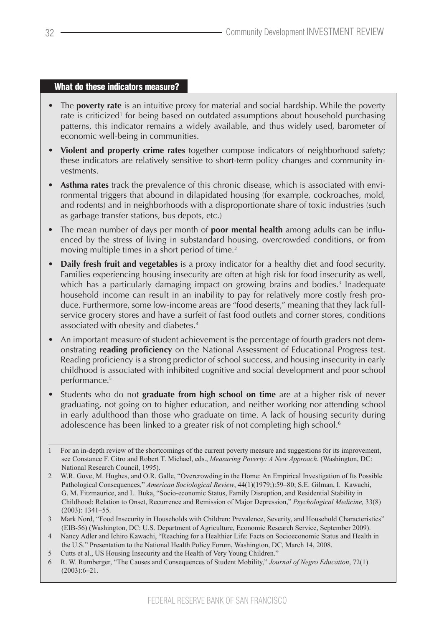## What do these indicators measure?

- The **poverty rate** is an intuitive proxy for material and social hardship. While the poverty rate is criticized<sup>1</sup> for being based on outdated assumptions about household purchasing patterns, this indicator remains a widely available, and thus widely used, barometer of economic well-being in communities.
- **Violent and property crime rates** together compose indicators of neighborhood safety; these indicators are relatively sensitive to short-term policy changes and community investments.
- **Asthma rates** track the prevalence of this chronic disease, which is associated with environmental triggers that abound in dilapidated housing (for example, cockroaches, mold, and rodents) and in neighborhoods with a disproportionate share of toxic industries (such as garbage transfer stations, bus depots, etc.)
- The mean number of days per month of **poor mental health** among adults can be influenced by the stress of living in substandard housing, overcrowded conditions, or from moving multiple times in a short period of time.<sup>2</sup>
- • **Daily fresh fruit and vegetables** is a proxy indicator for a healthy diet and food security. Families experiencing housing insecurity are often at high risk for food insecurity as well, which has a particularly damaging impact on growing brains and bodies.<sup>3</sup> Inadequate household income can result in an inability to pay for relatively more costly fresh produce. Furthermore, some low-income areas are "food deserts," meaning that they lack fullservice grocery stores and have a surfeit of fast food outlets and corner stores, conditions associated with obesity and diabetes.4
- An important measure of student achievement is the percentage of fourth graders not demonstrating **reading proficiency** on the National Assessment of Educational Progress test. Reading proficiency is a strong predictor of school success, and housing insecurity in early childhood is associated with inhibited cognitive and social development and poor school performance.5
- Students who do not graduate from high school on time are at a higher risk of never graduating, not going on to higher education, and neither working nor attending school in early adulthood than those who graduate on time. A lack of housing security during adolescence has been linked to a greater risk of not completing high school.<sup>6</sup>

<sup>1</sup>  For an in-depth review of the shortcomings of the current poverty measure and suggestions for its improvement, see Constance F. Citro and Robert T. Michael, eds., *Measuring Poverty: A New Approach.* (Washington, DC: National Research Council, 1995).

<sup>2</sup>  W.R. Gove, M. Hughes, and O.R. Galle, "Overcrowding in the Home: An Empirical Investigation of Its Possible Pathological Consequences," *American Sociological Review*, 44(1)(1979;):59–80; S.E. Gilman, I. Kawachi, G. M. Fitzmaurice, and L. Buka, "Socio-economic Status, Family Disruption, and Residential Stability in Childhood: Relation to Onset, Recurrence and Remission of Major Depression," *Psychological Medicine,* 33(8) (2003): 1341–55.

<sup>3</sup>  Mark Nord, "Food Insecurity in Households with Children: Prevalence, Severity, and Household Characteristics" (EIB-56) (Washington, DC: U.S. Department of Agriculture, Economic Research Service, September 2009).

<sup>4</sup>  Nancy Adler and Ichiro Kawachi, "Reaching for a Healthier Life: Facts on Socioeconomic Status and Health in the U.S." Presentation to the National Health Policy Forum, Washington, DC, March 14, 2008.

<sup>5</sup>  Cutts et al., US Housing Insecurity and the Health of Very Young Children."

<sup>6</sup>  R. W. Rumberger, "The Causes and Consequences of Student Mobility," *Journal of Negro Education*, 72(1)  $(2003):6-21.$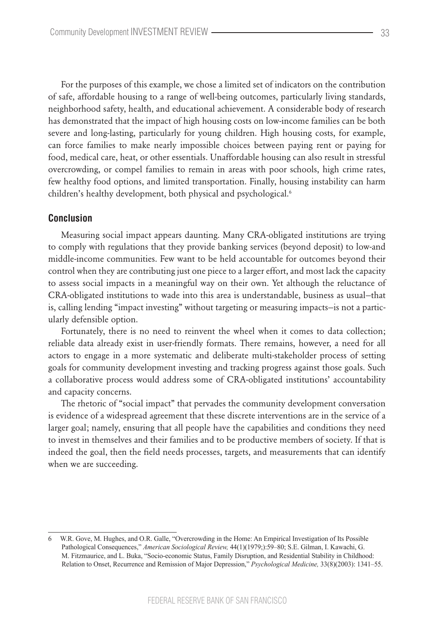For the purposes of this example, we chose a limited set of indicators on the contribution of safe, affordable housing to a range of well-being outcomes, particularly living standards, neighborhood safety, health, and educational achievement. A considerable body of research has demonstrated that the impact of high housing costs on low-income families can be both severe and long-lasting, particularly for young children. High housing costs, for example, can force families to make nearly impossible choices between paying rent or paying for food, medical care, heat, or other essentials. Unaffordable housing can also result in stressful overcrowding, or compel families to remain in areas with poor schools, high crime rates, few healthy food options, and limited transportation. Finally, housing instability can harm children's healthy development, both physical and psychological.<sup>6</sup>

## **Conclusion**

Measuring social impact appears daunting. Many CRA-obligated institutions are trying to comply with regulations that they provide banking services (beyond deposit) to low-and middle-income communities. Few want to be held accountable for outcomes beyond their control when they are contributing just one piece to a larger effort, and most lack the capacity to assess social impacts in a meaningful way on their own. Yet although the reluctance of CRA-obligated institutions to wade into this area is understandable, business as usual—that is, calling lending "impact investing" without targeting or measuring impacts—is not a particularly defensible option.

Fortunately, there is no need to reinvent the wheel when it comes to data collection; reliable data already exist in user-friendly formats. There remains, however, a need for all actors to engage in a more systematic and deliberate multi-stakeholder process of setting goals for community development investing and tracking progress against those goals. Such a collaborative process would address some of CRA-obligated institutions' accountability and capacity concerns.

The rhetoric of "social impact" that pervades the community development conversation is evidence of a widespread agreement that these discrete interventions are in the service of a larger goal; namely, ensuring that all people have the capabilities and conditions they need to invest in themselves and their families and to be productive members of society. If that is indeed the goal, then the field needs processes, targets, and measurements that can identify when we are succeeding.

W.R. Gove, M. Hughes, and O.R. Galle, "Overcrowding in the Home: An Empirical Investigation of Its Possible Pathological Consequences," *American Sociological Review,* 44(1)(1979;):59–80; S.E. Gilman, I. Kawachi, G. M. Fitzmaurice, and L. Buka, "Socio-economic Status, Family Disruption, and Residential Stability in Childhood: Relation to Onset, Recurrence and Remission of Major Depression," *Psychological Medicine,* 33(8)(2003): 1341–55.